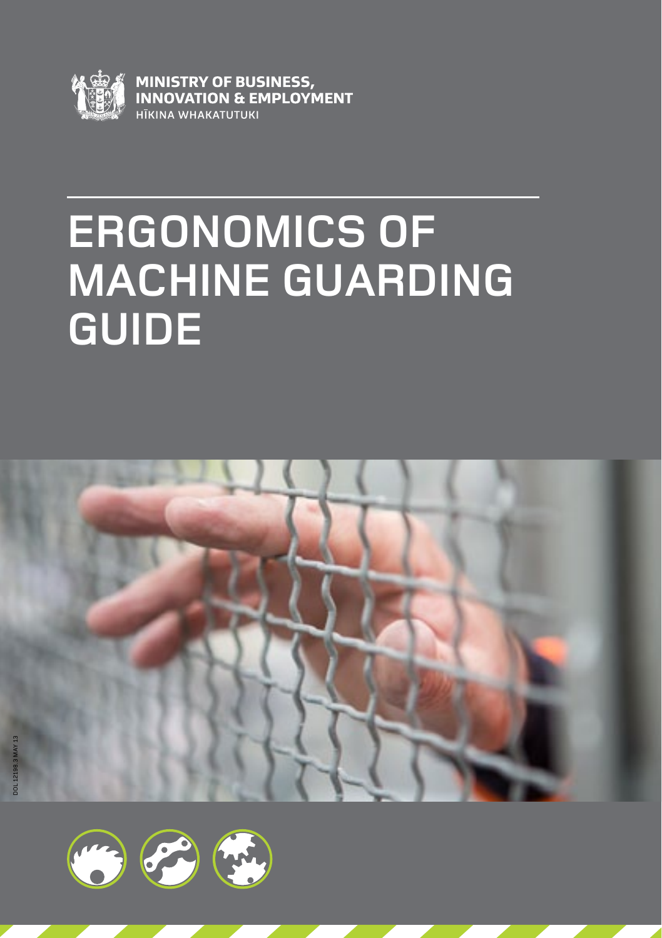

**MINISTRY OF BUSINESS,<br>INNOVATION & EMPLOYMENT** HĪKINA WHAKATUTUKI

# **Ergonomics of Machine Guarding Guide**



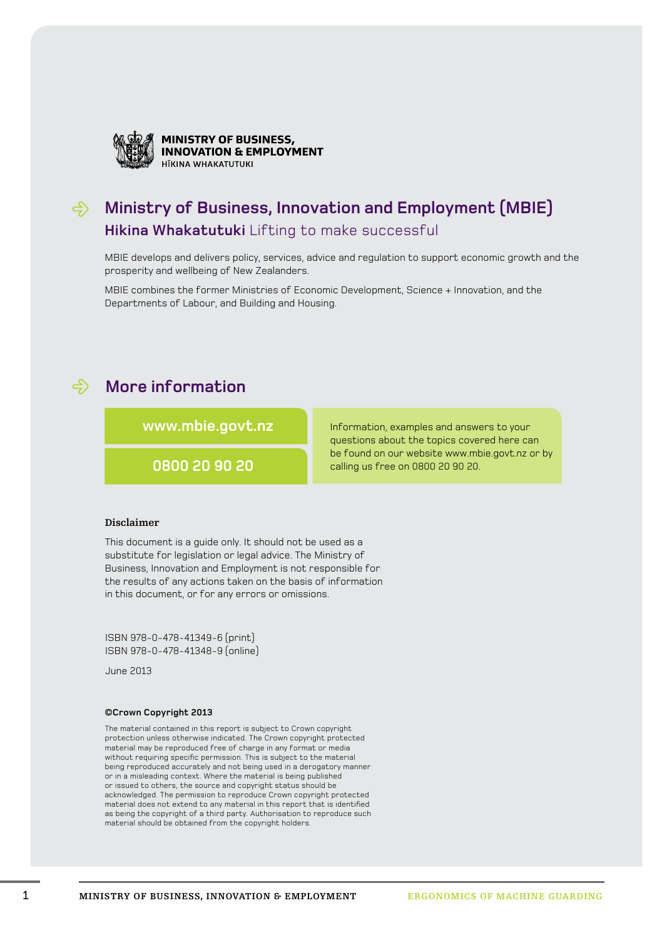

**MINISTRY OF BUSINESS, INNOVATION & EMPLOYMENT** HIKINA WHAKATUTUK

#### **Ministry of Business, Innovation and Employment (MBIE) Hikina Whakatutuki** Lifting to make successful

MBIE develops and delivers policy, services, advice and regulation to support economic growth and the prosperity and wellbeing of New Zealanders.

MBIE combines the former Ministries of Economic Development, Science + Innovation, and the Departments of Labour, and Building and Housing.

#### **More information**

**www.mbie.govt.nz**

**0800 20 90 20**

Information, examples and answers to your questions about the topics covered here can be found on our website www.mbie.govt.nz or by calling us free on 0800 20 90 20.

#### **Disclaimer**

This document is a guide only. It should not be used as a substitute for legislation or legal advice. The Ministry of Business, Innovation and Employment is not responsible for the results of any actions taken on the basis of information in this document, or for any errors or omissions.

ISBN 978-0-478-41349-6 (print) ISBN 978-0-478-41348-9 (online)

June 2013

#### **©Crown Copyright 2013**

The material contained in this report is subject to Crown copyright protection unless otherwise indicated. The Crown copyright protected material may be reproduced free of charge in any format or media without requiring specific permission. This is subject to the material being reproduced accurately and not being used in a derogatory manner or in a misleading context. Where the material is being published or issued to others, the source and copyright status should be acknowledged. The permission to reproduce Crown copyright protected material does not extend to any material in this report that is identified as being the copyright of a third party. Authorisation to reproduce such material should be obtained from the copyright holders.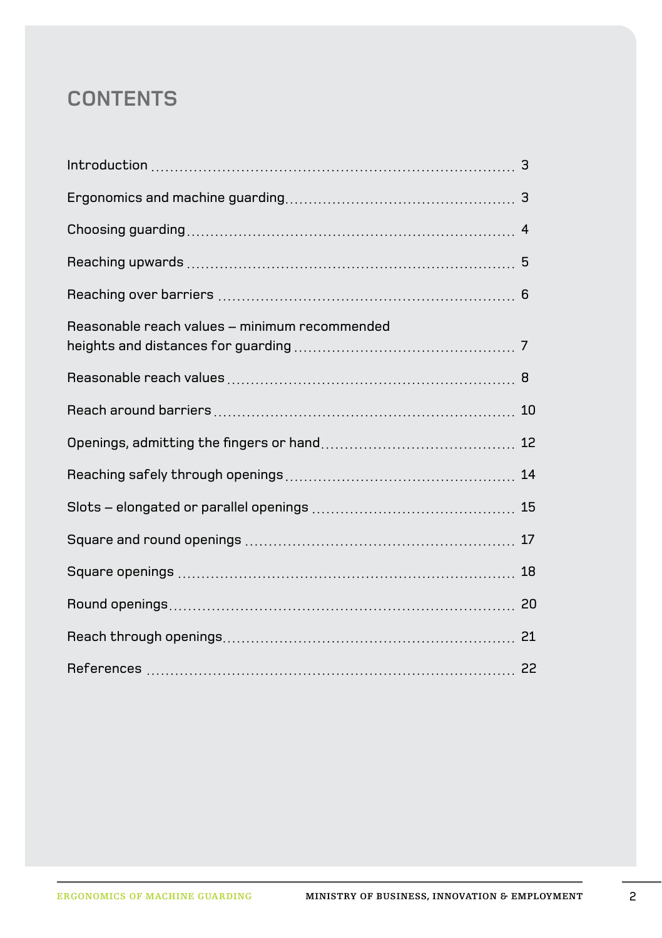#### **Contents**

| Reasonable reach values - minimum recommended |  |
|-----------------------------------------------|--|
|                                               |  |
|                                               |  |
|                                               |  |
|                                               |  |
|                                               |  |
|                                               |  |
|                                               |  |
|                                               |  |
|                                               |  |
|                                               |  |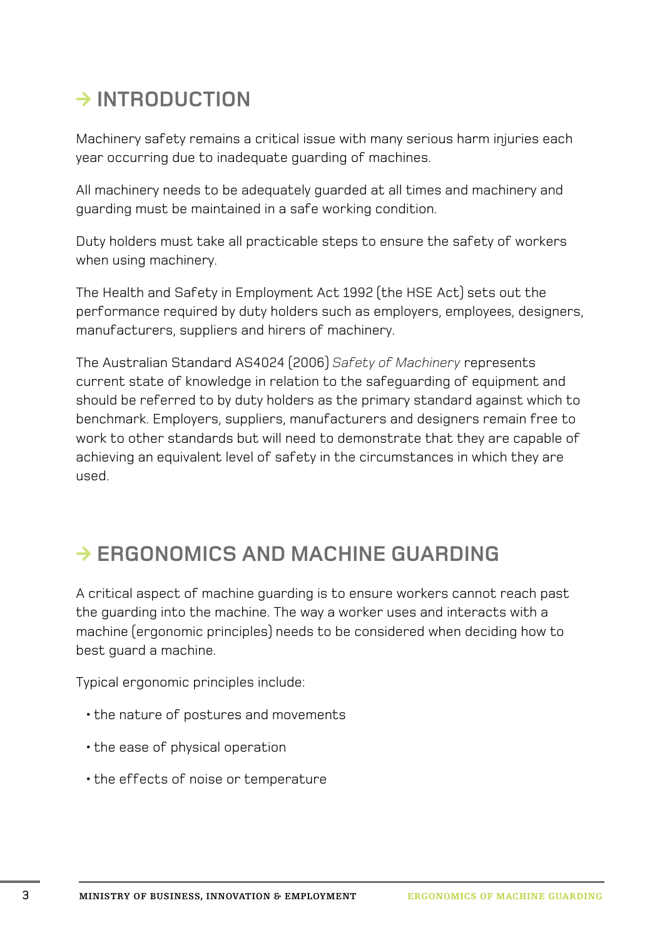# **◊ Introduction**

Machinery safety remains a critical issue with many serious harm injuries each year occurring due to inadequate guarding of machines.

All machinery needs to be adequately guarded at all times and machinery and guarding must be maintained in a safe working condition.

Duty holders must take all practicable steps to ensure the safety of workers when using machinery.

The Health and Safety in Employment Act 1992 (the HSE Act) sets out the performance required by duty holders such as employers, employees, designers, manufacturers, suppliers and hirers of machinery.

The Australian Standard AS4024 (2006) *Safety of Machinery* represents current state of knowledge in relation to the safeguarding of equipment and should be referred to by duty holders as the primary standard against which to benchmark. Employers, suppliers, manufacturers and designers remain free to work to other standards but will need to demonstrate that they are capable of achieving an equivalent level of safety in the circumstances in which they are used.

## **◊ Ergonomics and machine guarding**

A critical aspect of machine guarding is to ensure workers cannot reach past the guarding into the machine. The way a worker uses and interacts with a machine (ergonomic principles) needs to be considered when deciding how to best guard a machine.

Typical ergonomic principles include:

- •the nature of postures and movements
- •the ease of physical operation
- •the effects of noise or temperature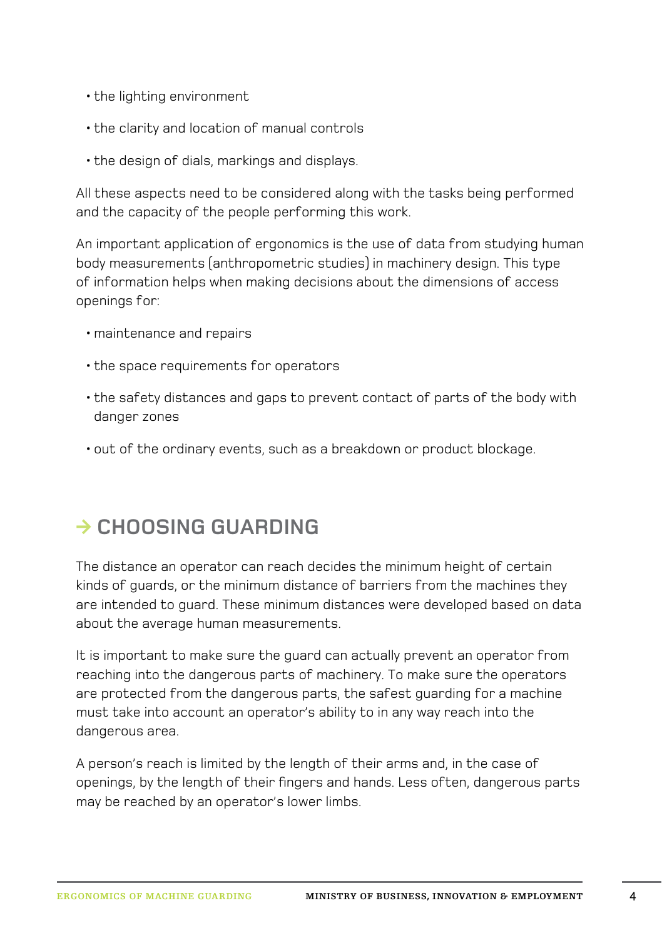- •the lighting environment
- •the clarity and location of manual controls
- •the design of dials, markings and displays.

All these aspects need to be considered along with the tasks being performed and the capacity of the people performing this work.

An important application of ergonomics is the use of data from studying human body measurements (anthropometric studies) in machinery design. This type of information helps when making decisions about the dimensions of access openings for:

- •maintenance and repairs
- •the space requirements for operators
- •the safety distances and gaps to prevent contact of parts of the body with danger zones
- •out of the ordinary events, such as a breakdown or product blockage.

## **◊ Choosing guarding**

The distance an operator can reach decides the minimum height of certain kinds of guards, or the minimum distance of barriers from the machines they are intended to guard. These minimum distances were developed based on data about the average human measurements.

It is important to make sure the guard can actually prevent an operator from reaching into the dangerous parts of machinery. To make sure the operators are protected from the dangerous parts, the safest guarding for a machine must take into account an operator's ability to in any way reach into the dangerous area.

A person's reach is limited by the length of their arms and, in the case of openings, by the length of their fingers and hands. Less often, dangerous parts may be reached by an operator's lower limbs.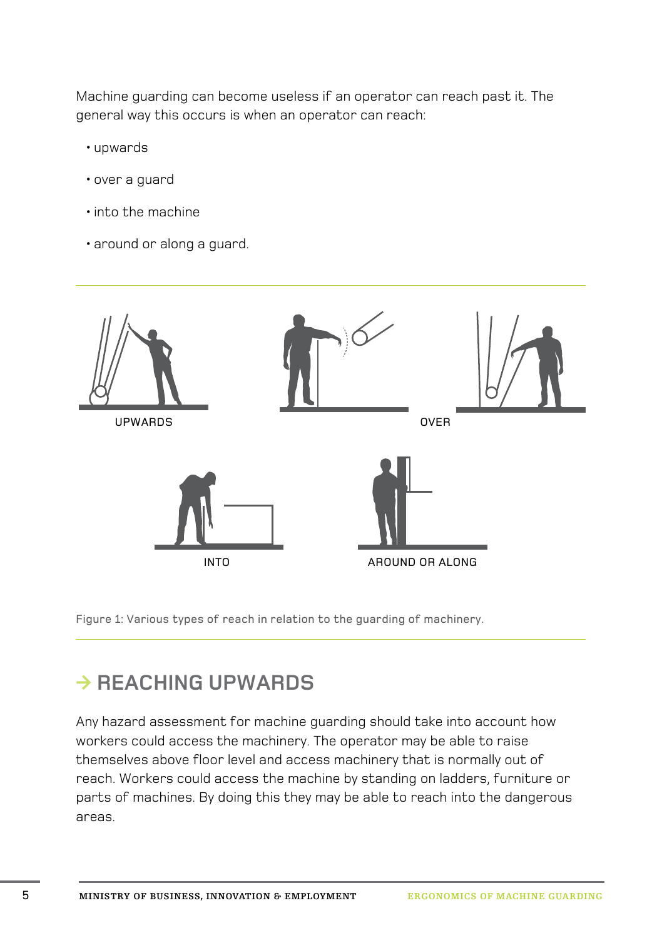Machine guarding can become useless if an operator can reach past it. The general way this occurs is when an operator can reach:

- •upwards
- •over a guard
- •into the machine
- •around or along a guard.



Figure 1: Various types of reach in relation to the guarding of machinery.

## **◊ Reaching upwards**

Any hazard assessment for machine guarding should take into account how workers could access the machinery. The operator may be able to raise themselves above floor level and access machinery that is normally out of reach. Workers could access the machine by standing on ladders, furniture or parts of machines. By doing this they may be able to reach into the dangerous areas.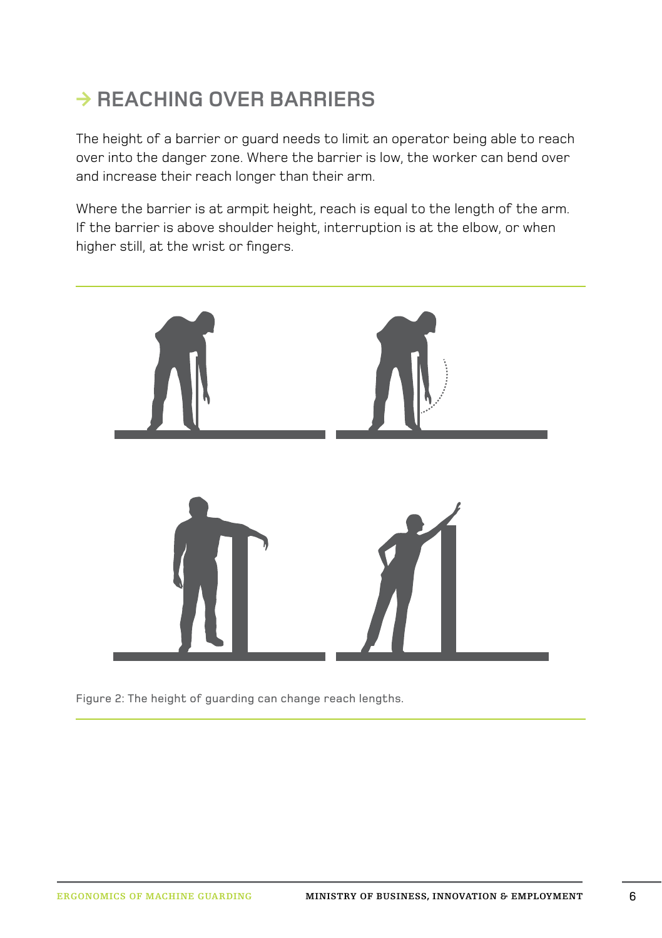# **◊ Reaching over barriers**

The height of a barrier or guard needs to limit an operator being able to reach over into the danger zone. Where the barrier is low, the worker can bend over and increase their reach longer than their arm.

Where the barrier is at armpit height, reach is equal to the length of the arm. If the barrier is above shoulder height, interruption is at the elbow, or when higher still, at the wrist or fingers.



Figure 2: The height of guarding can change reach lengths.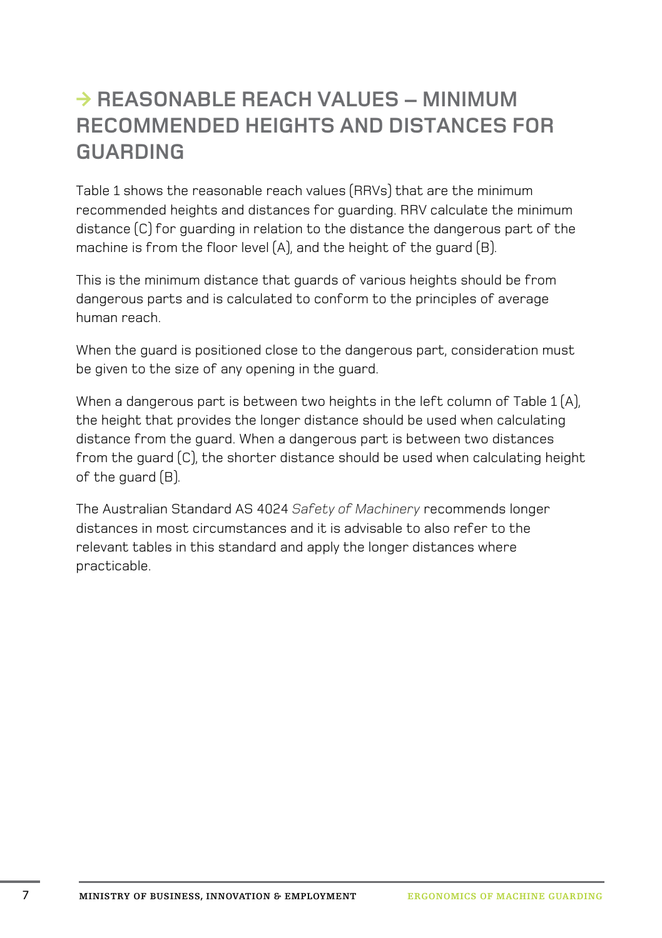#### $\rightarrow$  **REASONARLE REACH VALUES – MINIMUM recommended heights and distances for guarding**

Table 1 shows the reasonable reach values (RRVs) that are the minimum recommended heights and distances for guarding. RRV calculate the minimum distance (C) for guarding in relation to the distance the dangerous part of the machine is from the floor level (A), and the height of the guard (B).

This is the minimum distance that guards of various heights should be from dangerous parts and is calculated to conform to the principles of average human reach.

When the guard is positioned close to the dangerous part, consideration must be given to the size of any opening in the guard.

When a dangerous part is between two heights in the left column of Table 1 (A), the height that provides the longer distance should be used when calculating distance from the guard. When a dangerous part is between two distances from the guard (C), the shorter distance should be used when calculating height of the guard (B).

The Australian Standard AS 4024 *Safety of Machinery* recommends longer distances in most circumstances and it is advisable to also refer to the relevant tables in this standard and apply the longer distances where practicable.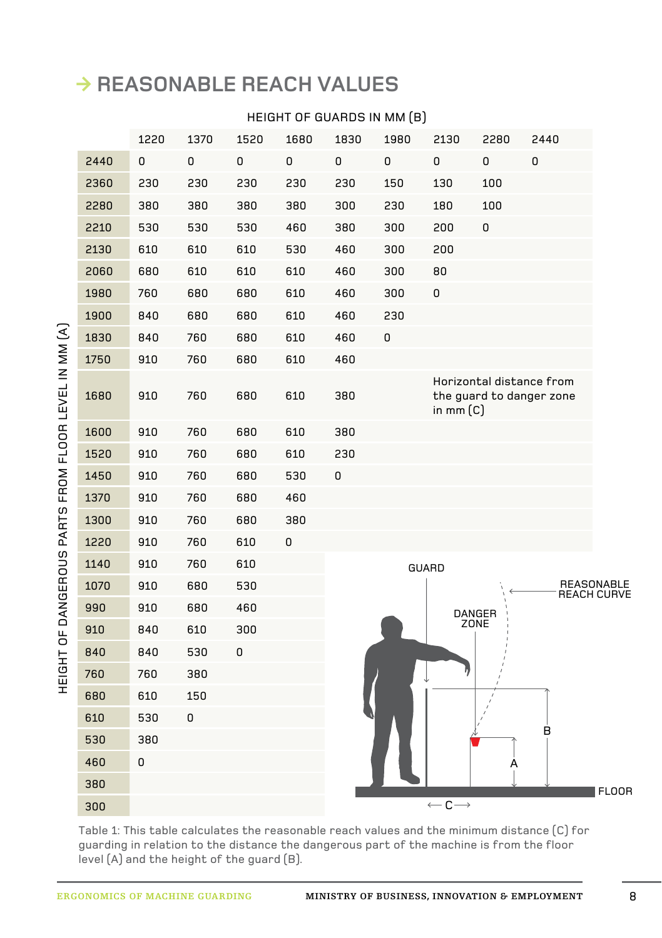#### **◊ Reasonable reach values**

#### Height of guards in mm (B)

|      | 1220 | 1370 | 1520 | 1680 | 1830 | 1980 | 2130                         | 2280           | 2440                                                 |              |
|------|------|------|------|------|------|------|------------------------------|----------------|------------------------------------------------------|--------------|
| 2440 | 0    | 0    | 0    | 0    | 0    | 0    | 0                            | 0              | 0                                                    |              |
| 2360 | 230  | 230  | 230  | 230  | 230  | 150  | 130                          | 100            |                                                      |              |
| 2280 | 380  | 380  | 380  | 380  | 300  | 230  | 180                          | 100            |                                                      |              |
| 2210 | 530  | 530  | 530  | 460  | 380  | 300  | 200                          | 0              |                                                      |              |
| 2130 | 610  | 610  | 610  | 530  | 460  | 300  | 200                          |                |                                                      |              |
| 2060 | 680  | 610  | 610  | 610  | 460  | 300  | 80                           |                |                                                      |              |
| 1980 | 760  | 680  | 680  | 610  | 460  | 300  | 0                            |                |                                                      |              |
| 1900 | 840  | 680  | 680  | 610  | 460  | 230  |                              |                |                                                      |              |
| 1830 | 840  | 760  | 680  | 610  | 460  | 0    |                              |                |                                                      |              |
| 1750 | 910  | 760  | 680  | 610  | 460  |      |                              |                |                                                      |              |
| 1680 | 910  | 760  | 680  | 610  | 380  |      | in mm $(C)$                  |                | Horizontal distance from<br>the guard to danger zone |              |
| 1600 | 910  | 760  | 680  | 610  | 380  |      |                              |                |                                                      |              |
| 1520 | 910  | 760  | 680  | 610  | 230  |      |                              |                |                                                      |              |
| 1450 | 910  | 760  | 680  | 530  | 0    |      |                              |                |                                                      |              |
| 1370 | 910  | 760  | 680  | 460  |      |      |                              |                |                                                      |              |
| 1300 | 910  | 760  | 680  | 380  |      |      |                              |                |                                                      |              |
| 1220 | 910  | 760  | 610  | 0    |      |      |                              |                |                                                      |              |
| 1140 | 910  | 760  | 610  |      |      |      | GUARD                        |                |                                                      |              |
| 1070 | 910  | 680  | 530  |      |      |      |                              |                | REASONABLE<br>REACH CURVE                            |              |
| 990  | 910  | 680  | 460  |      |      |      |                              | DANGER<br>ZONE |                                                      |              |
| 910  | 840  | 610  | 300  |      |      |      |                              |                |                                                      |              |
| 840  | 840  | 530  | 0    |      |      |      |                              |                |                                                      |              |
| 760  | 760  | 380  |      |      |      |      |                              |                |                                                      |              |
| 680  | 610  | 150  |      |      |      |      |                              |                |                                                      |              |
| 610  | 530  | 0    |      |      |      |      |                              |                |                                                      |              |
| 530  | 380  |      |      |      |      |      |                              |                | в                                                    |              |
| 460  | 0    |      |      |      |      |      |                              | А              |                                                      |              |
| 380  |      |      |      |      |      |      |                              |                |                                                      | <b>FLOOR</b> |
| 300  |      |      |      |      |      |      | $\leftarrow$ C $\rightarrow$ |                |                                                      |              |

Table 1: This table calculates the reasonable reach values and the minimum distance (C) for guarding in relation to the distance the dangerous part of the machine is from the floor level (A) and the height of the guard (B).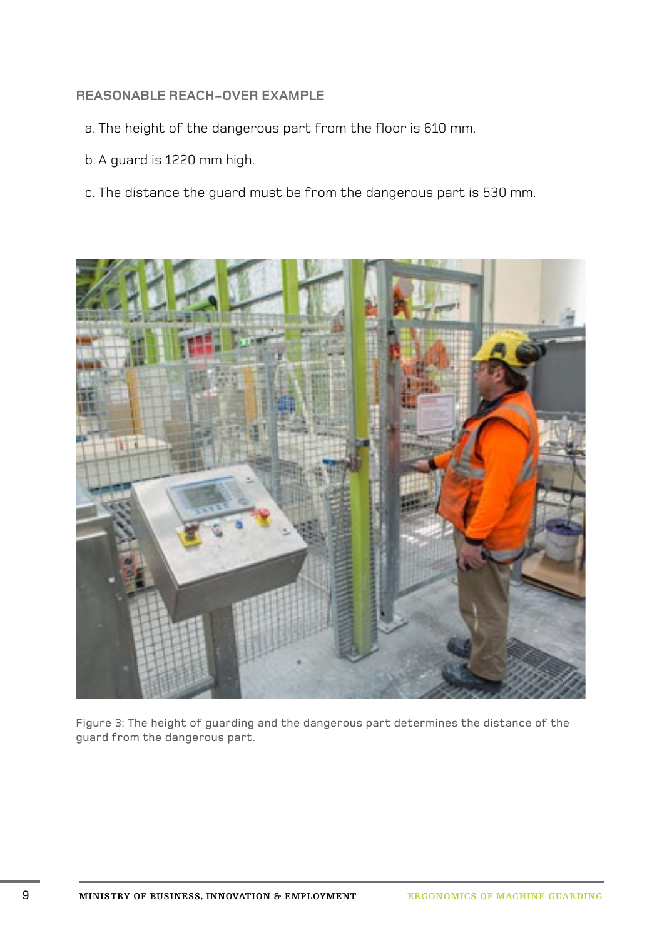#### **Reasonable reach-over example**

- a. The height of the dangerous part from the floor is 610 mm.
- b. A guard is 1220 mm high.
- c. The distance the guard must be from the dangerous part is 530 mm.



Figure 3: The height of guarding and the dangerous part determines the distance of the guard from the dangerous part.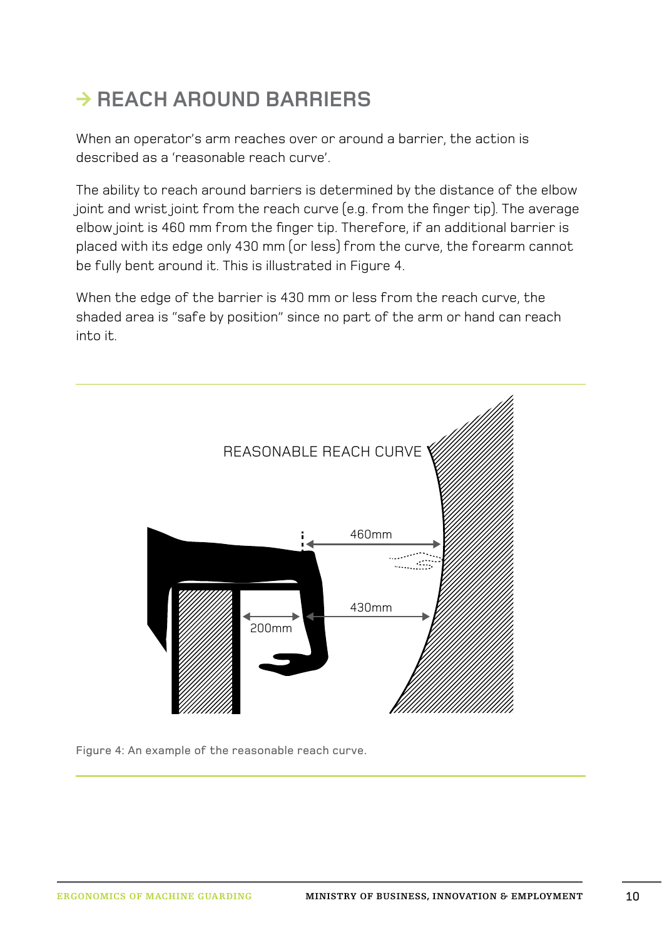# **→ REACH AROUND BARRIERS**

When an operator's arm reaches over or around a barrier, the action is described as a 'reasonable reach curve'.

The ability to reach around barriers is determined by the distance of the elbow joint and wrist joint from the reach curve (e.g. from the finger tip). The average elbow joint is 460 mm from the finger tip. Therefore, if an additional barrier is placed with its edge only 430 mm (or less) from the curve, the forearm cannot be fully bent around it. This is illustrated in Figure 4.

When the edge of the barrier is 430 mm or less from the reach curve, the shaded area is "safe by position" since no part of the arm or hand can reach into it.



Figure 4: An example of the reasonable reach curve.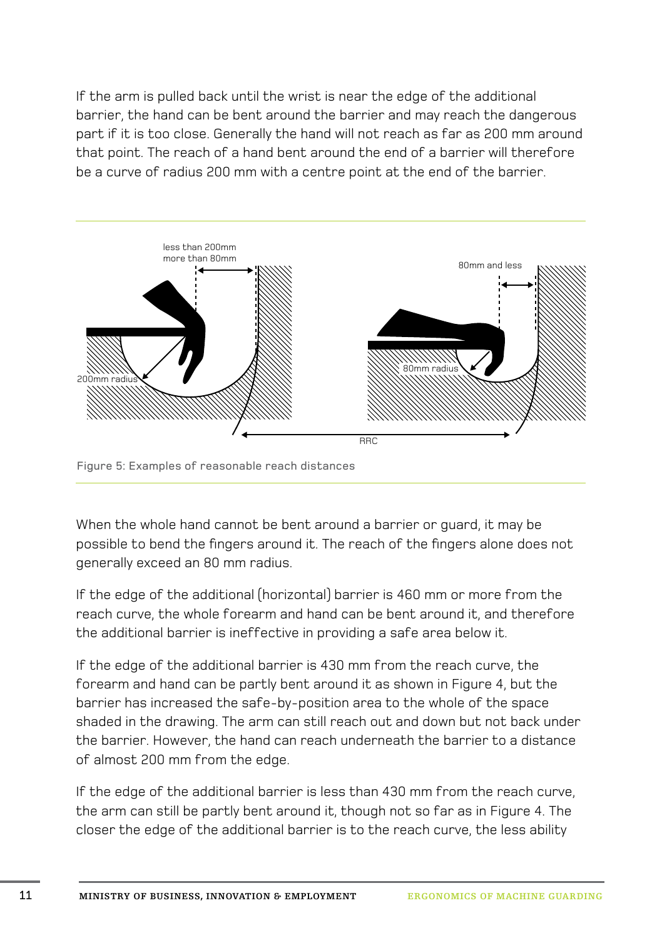If the arm is pulled back until the wrist is near the edge of the additional barrier, the hand can be bent around the barrier and may reach the dangerous part if it is too close. Generally the hand will not reach as far as 200 mm around that point. The reach of a hand bent around the end of a barrier will therefore be a curve of radius 200 mm with a centre point at the end of the barrier.



Figure 5: Examples of reasonable reach distances

When the whole hand cannot be bent around a barrier or guard, it may be possible to bend the fingers around it. The reach of the fingers alone does not generally exceed an 80 mm radius.

If the edge of the additional (horizontal) barrier is 460 mm or more from the reach curve, the whole forearm and hand can be bent around it, and therefore the additional barrier is ineffective in providing a safe area below it.

If the edge of the additional barrier is 430 mm from the reach curve, the forearm and hand can be partly bent around it as shown in Figure 4, but the barrier has increased the safe-by-position area to the whole of the space shaded in the drawing. The arm can still reach out and down but not back under the barrier. However, the hand can reach underneath the barrier to a distance of almost 200 mm from the edge.

If the edge of the additional barrier is less than 430 mm from the reach curve, the arm can still be partly bent around it, though not so far as in Figure 4. The closer the edge of the additional barrier is to the reach curve, the less ability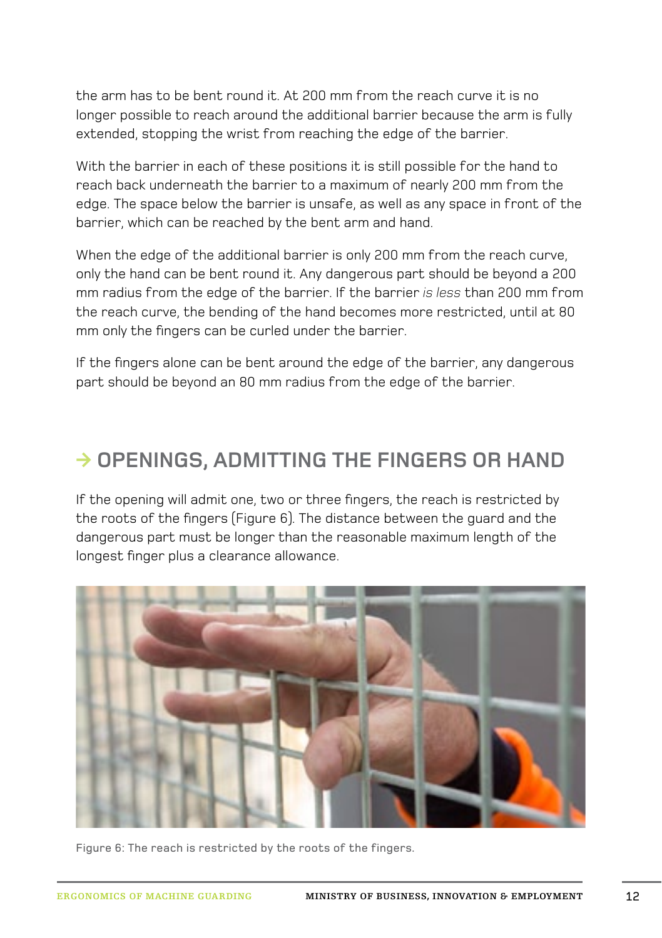the arm has to be bent round it. At 200 mm from the reach curve it is no longer possible to reach around the additional barrier because the arm is fully extended, stopping the wrist from reaching the edge of the barrier.

With the barrier in each of these positions it is still possible for the hand to reach back underneath the barrier to a maximum of nearly 200 mm from the edge. The space below the barrier is unsafe, as well as any space in front of the barrier, which can be reached by the bent arm and hand.

When the edge of the additional barrier is only 200 mm from the reach curve. only the hand can be bent round it. Any dangerous part should be beyond a 200 mm radius from the edge of the barrier. If the barrier *is less* than 200 mm from the reach curve, the bending of the hand becomes more restricted, until at 80 mm only the fingers can be curled under the barrier.

If the fingers alone can be bent around the edge of the barrier, any dangerous part should be beyond an 80 mm radius from the edge of the barrier.

#### **→ OPENINGS, ADMITTING THE FINGERS OR HAND**

If the opening will admit one, two or three fingers, the reach is restricted by the roots of the fingers (Figure 6). The distance between the guard and the dangerous part must be longer than the reasonable maximum length of the longest finger plus a clearance allowance.



Figure 6: The reach is restricted by the roots of the fingers.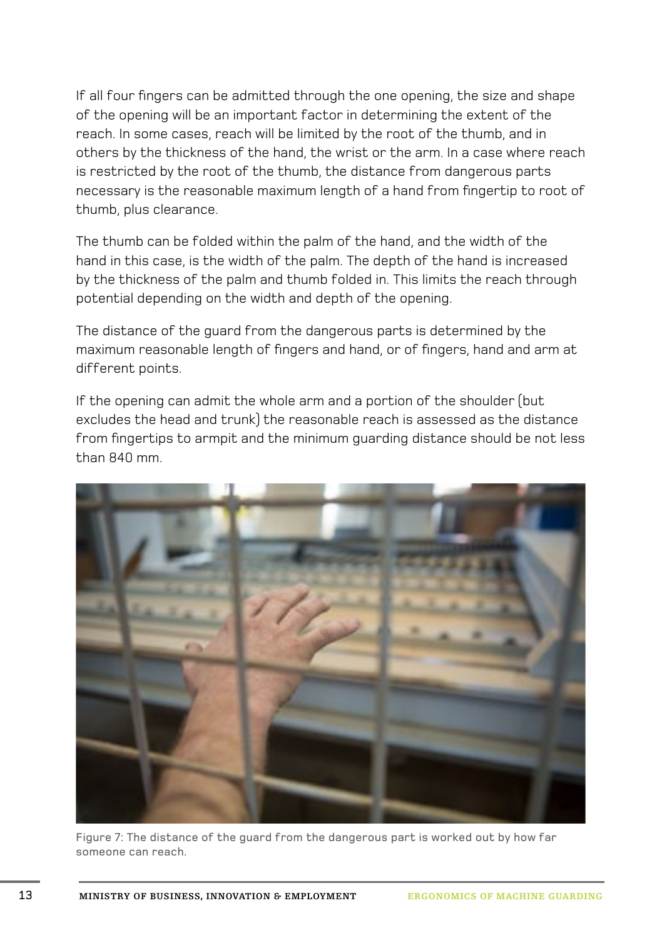If all four fingers can be admitted through the one opening, the size and shape of the opening will be an important factor in determining the extent of the reach. In some cases, reach will be limited by the root of the thumb, and in others by the thickness of the hand, the wrist or the arm. In a case where reach is restricted by the root of the thumb, the distance from dangerous parts necessary is the reasonable maximum length of a hand from fingertip to root of thumb, plus clearance.

The thumb can be folded within the palm of the hand, and the width of the hand in this case, is the width of the palm. The depth of the hand is increased by the thickness of the palm and thumb folded in. This limits the reach through potential depending on the width and depth of the opening.

The distance of the guard from the dangerous parts is determined by the maximum reasonable length of fingers and hand, or of fingers, hand and arm at different points.

If the opening can admit the whole arm and a portion of the shoulder (but excludes the head and trunk) the reasonable reach is assessed as the distance from fingertips to armpit and the minimum guarding distance should be not less than 840 mm.



Figure 7: The distance of the guard from the dangerous part is worked out by how far someone can reach.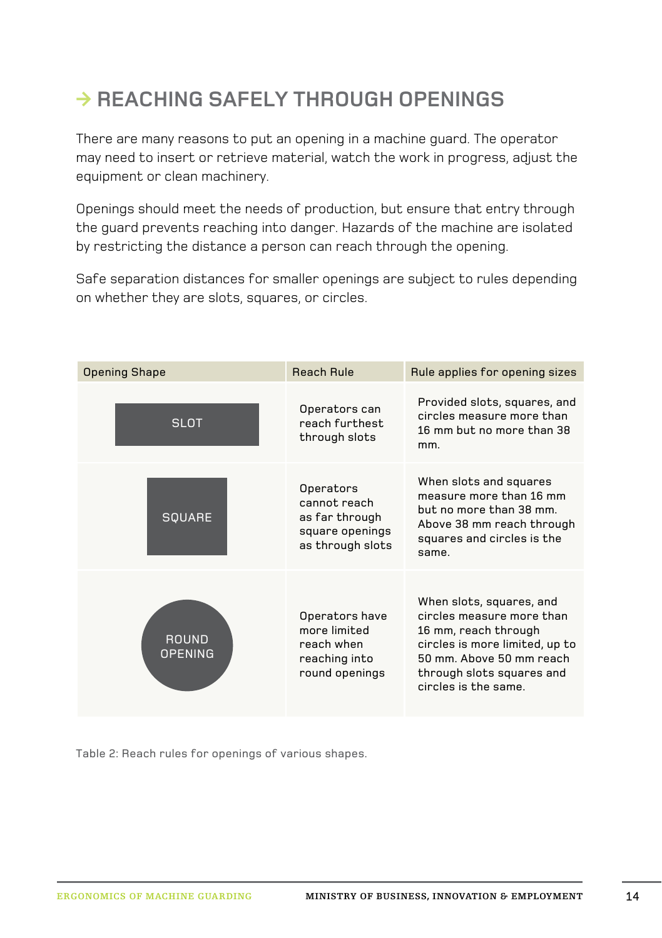# **◊ Reaching safely through openings**

There are many reasons to put an opening in a machine guard. The operator may need to insert or retrieve material, watch the work in progress, adjust the equipment or clean machinery.

Openings should meet the needs of production, but ensure that entry through the guard prevents reaching into danger. Hazards of the machine are isolated by restricting the distance a person can reach through the opening.

Safe separation distances for smaller openings are subject to rules depending on whether they are slots, squares, or circles.

| <b>Opening Shape</b>    | <b>Reach Rule</b>                                                                  | Rule applies for opening sizes                                                                                                                                                                   |  |
|-------------------------|------------------------------------------------------------------------------------|--------------------------------------------------------------------------------------------------------------------------------------------------------------------------------------------------|--|
| <b>SLOT</b>             | Operators can<br>reach furthest.<br>through slots                                  | Provided slots, squares, and<br>circles measure more than<br>16 mm but no more than 38<br>mm.                                                                                                    |  |
| <b>SQUARE</b>           | Operators<br>cannot reach<br>as far through<br>square openings<br>as through slots | When slots and squares<br>measure more than 16 mm<br>but no more than 38 mm<br>Above 38 mm reach through<br>squares and circles is the<br>same                                                   |  |
| ROUND<br><b>OPENING</b> | Operators have<br>more limited<br>reach when<br>reaching into<br>round openings    | When slots, squares, and<br>circles measure more than<br>16 mm, reach through<br>circles is more limited, up to<br>50 mm. Above 50 mm reach<br>through slots squares and<br>circles is the same. |  |

Table 2: Reach rules for openings of various shapes.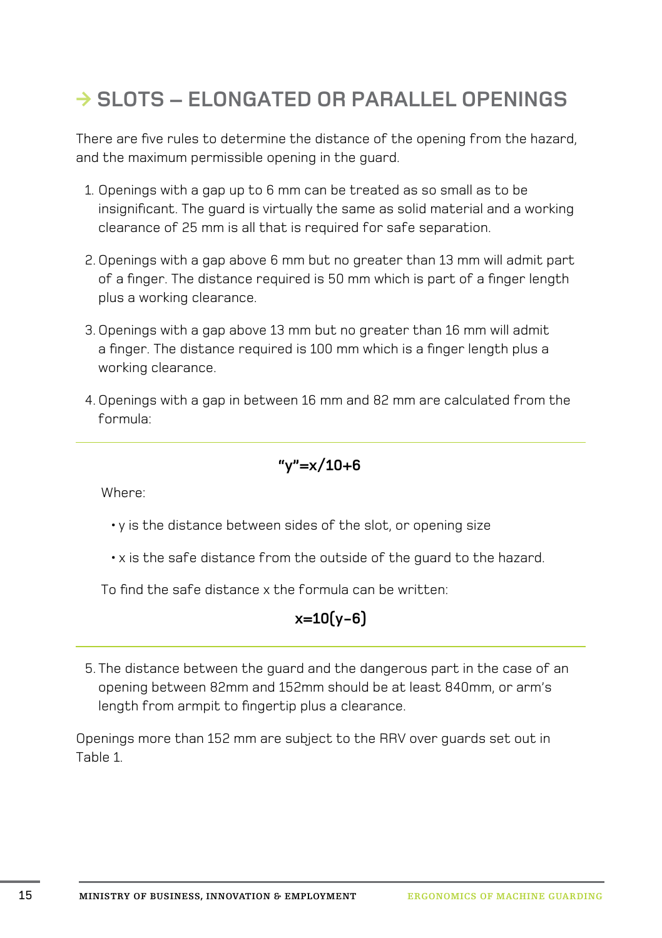# **◊ Slots – elongated or parallel openings**

There are five rules to determine the distance of the opening from the hazard, and the maximum permissible opening in the guard.

- 1. Openings with a gap up to 6 mm can be treated as so small as to be insignificant. The guard is virtually the same as solid material and a working clearance of 25 mm is all that is required for safe separation.
- 2. Openings with a gap above 6 mm but no greater than 13 mm will admit part of a finger. The distance required is 50 mm which is part of a finger length plus a working clearance.
- 3. Openings with a gap above 13 mm but no greater than 16 mm will admit a finger. The distance required is 100 mm which is a finger length plus a working clearance.
- 4. Openings with a gap in between 16 mm and 82 mm are calculated from the formula:

$$
\verb"''y"{=}x/10{+}6
$$

Where:

- y is the distance between sides of the slot, or opening size
- x is the safe distance from the outside of the guard to the hazard.

To find the safe distance x the formula can be written:

#### **x=10(y-6)**

5. The distance between the guard and the dangerous part in the case of an opening between 82mm and 152mm should be at least 840mm, or arm's length from armpit to fingertip plus a clearance.

Openings more than 152 mm are subject to the RRV over guards set out in Table 1.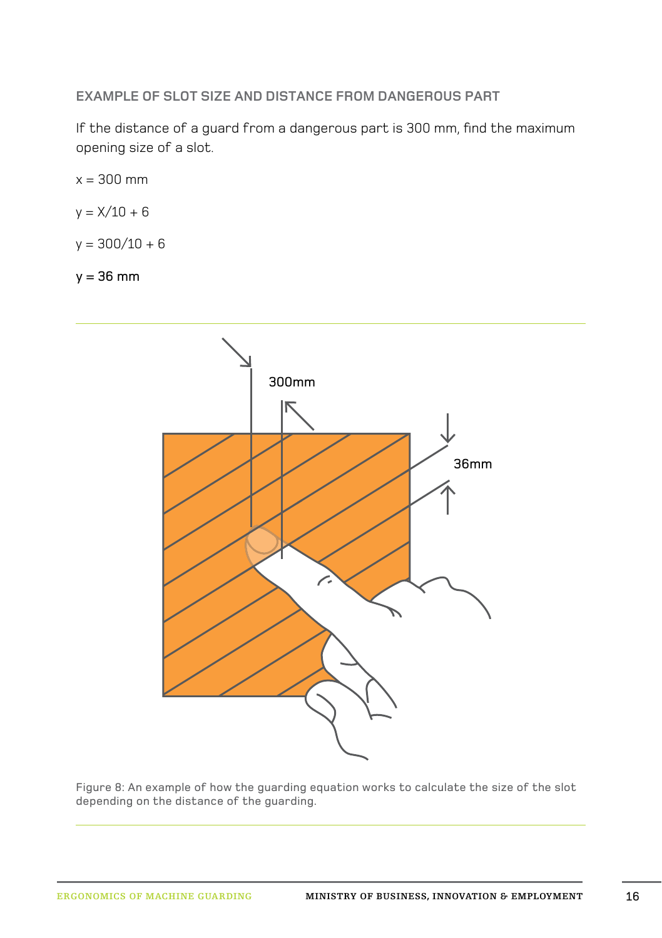**Example of slot size and distance from dangerous part** 

If the distance of a guard from a dangerous part is 300 mm, find the maximum opening size of a slot.

 $x = 300$  mm  $y = X/10 + 6$ 

 $y = 300/10 + 6$ 

 $y = 36$  mm



Figure 8: An example of how the guarding equation works to calculate the size of the slot depending on the distance of the guarding.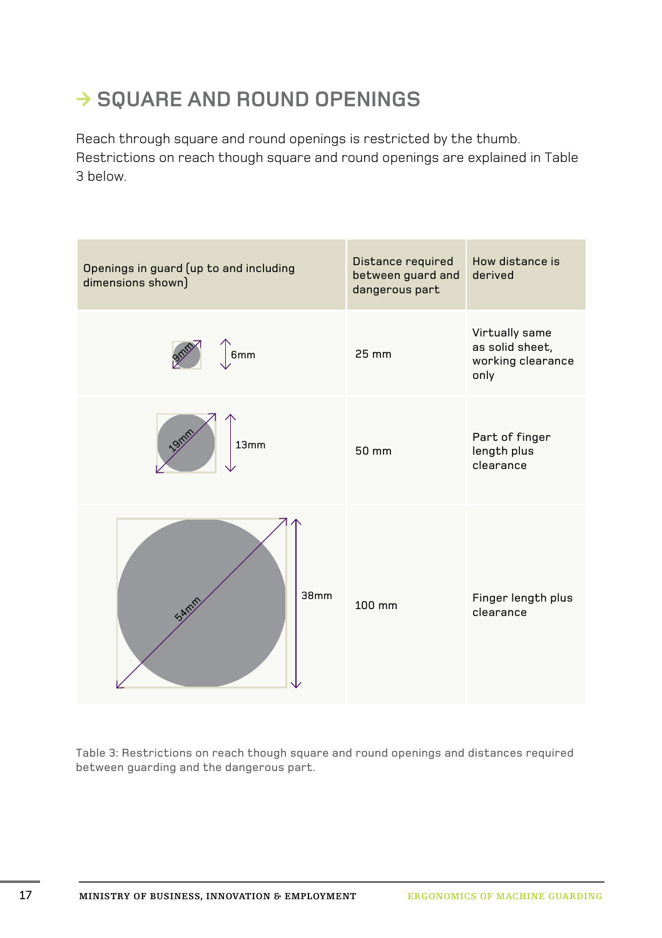#### **→ SQUARE AND ROUND OPENINGS**

Reach through square and round openings is restricted by the thumb. Restrictions on reach though square and round openings are explained in Table 3 below.



Table 3: Restrictions on reach though square and round openings and distances required between guarding and the dangerous part.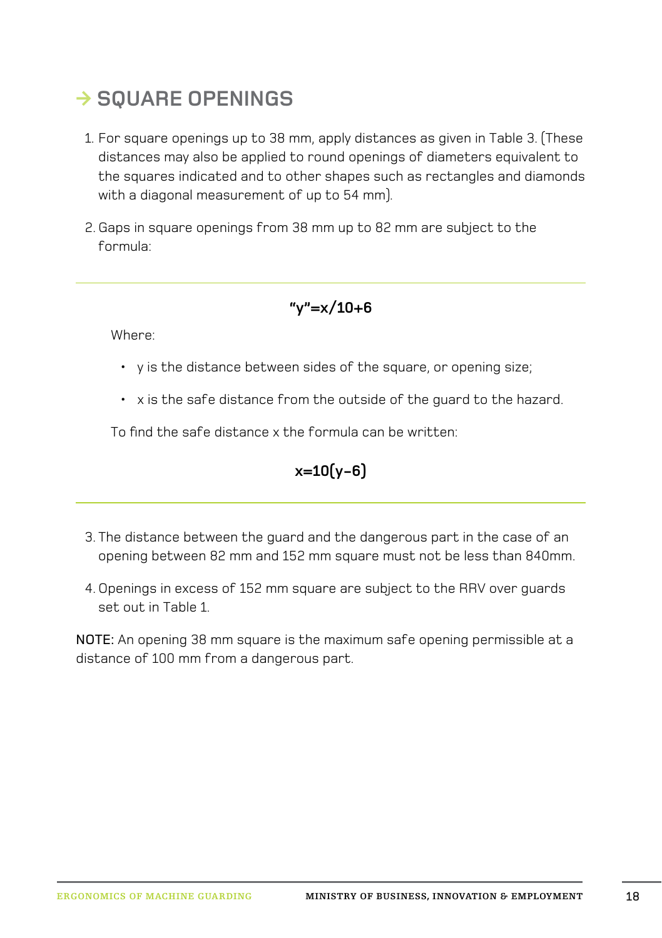# **◊ Square openings**

- 1. For square openings up to 38 mm, apply distances as given in Table 3. (These distances may also be applied to round openings of diameters equivalent to the squares indicated and to other shapes such as rectangles and diamonds with a diagonal measurement of up to 54 mm).
- 2. Gaps in square openings from 38 mm up to 82 mm are subject to the formula:

#### **"y"=x/10+6**

Where:

- y is the distance between sides of the square, or opening size;
- x is the safe distance from the outside of the guard to the hazard.

To find the safe distance x the formula can be written:

#### **x=10(y-6)**

- 3. The distance between the guard and the dangerous part in the case of an opening between 82 mm and 152 mm square must not be less than 840mm.
- 4. Openings in excess of 152 mm square are subject to the RRV over guards set out in Table 1.

NOTE: An opening 38 mm square is the maximum safe opening permissible at a distance of 100 mm from a dangerous part.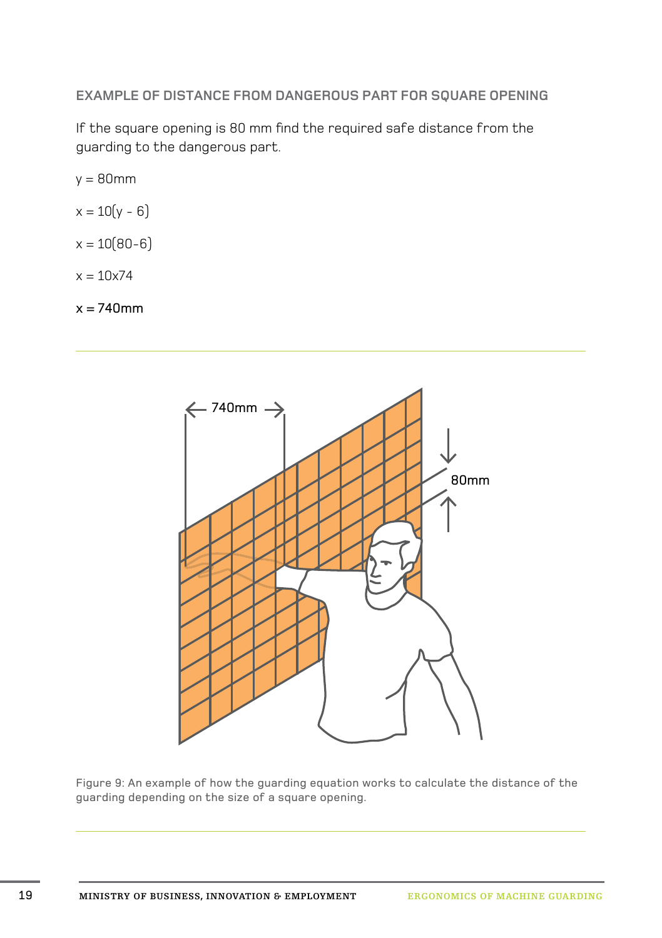**Example of distance from dangerous part for square opening**

If the square opening is 80 mm find the required safe distance from the guarding to the dangerous part.

 $y = 80$ mm

- $x = 10(y 6)$
- $x = 10(80-6)$
- $x = 10x74$

 $x = 740$ mm



Figure 9: An example of how the guarding equation works to calculate the distance of the guarding depending on the size of a square opening.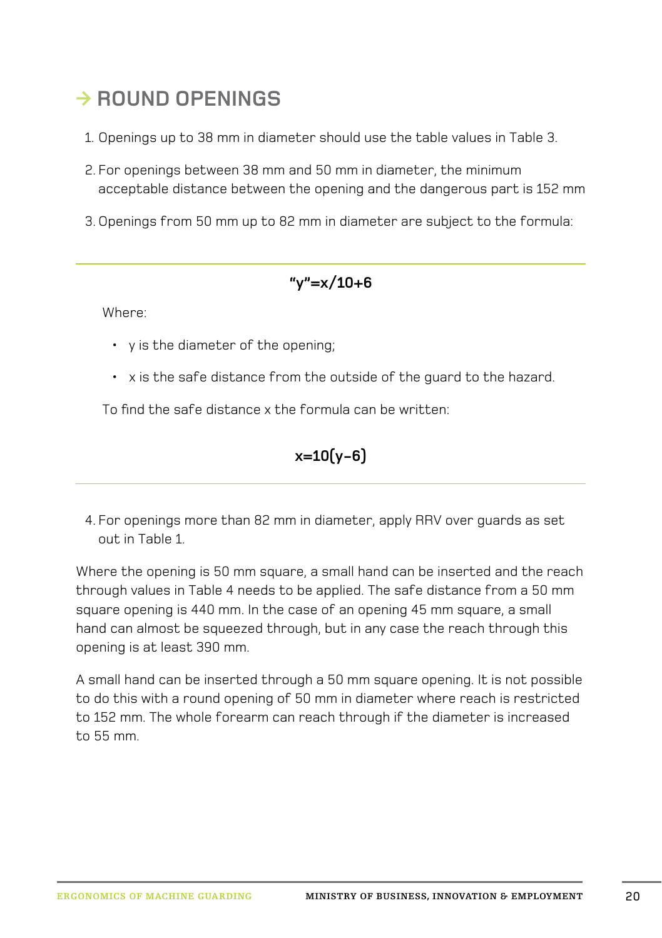#### **◊ Round openings**

- 1. Openings up to 38 mm in diameter should use the table values in Table 3.
- 2. For openings between 38 mm and 50 mm in diameter, the minimum acceptable distance between the opening and the dangerous part is 152 mm
- 3. Openings from 50 mm up to 82 mm in diameter are subject to the formula:

#### **"y"=x/10+6**

Where:

- y is the diameter of the opening;
- x is the safe distance from the outside of the guard to the hazard.

To find the safe distance x the formula can be written:

$$
x=10(y-6)
$$

4. For openings more than 82 mm in diameter, apply RRV over guards as set out in Table 1.

Where the opening is 50 mm square, a small hand can be inserted and the reach through values in Table 4 needs to be applied. The safe distance from a 50 mm square opening is 440 mm. In the case of an opening 45 mm square, a small hand can almost be squeezed through, but in any case the reach through this opening is at least 390 mm.

A small hand can be inserted through a 50 mm square opening. It is not possible to do this with a round opening of 50 mm in diameter where reach is restricted to 152 mm. The whole forearm can reach through if the diameter is increased to 55 mm.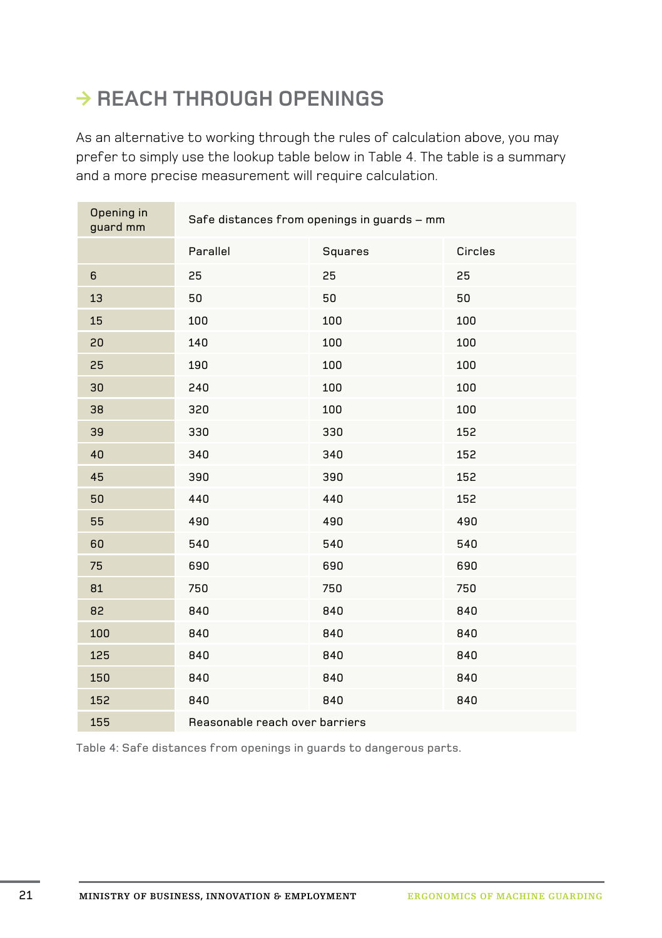# **◊ Reach through openings**

As an alternative to working through the rules of calculation above, you may prefer to simply use the lookup table below in Table 4. The table is a summary and a more precise measurement will require calculation.

| Opening in<br>guard mm | Safe distances from openings in guards - mm |         |         |  |  |  |
|------------------------|---------------------------------------------|---------|---------|--|--|--|
|                        | Parallel                                    | Squares | Circles |  |  |  |
| $\,6\,$                | 25                                          | 25      | 25      |  |  |  |
| 13                     | 50                                          | 50      | 50      |  |  |  |
| 15                     | 100                                         | 100     | 100     |  |  |  |
| 20                     | 140                                         | 100     | 100     |  |  |  |
| 25                     | 190                                         | 100     | 100     |  |  |  |
| 30                     | 240                                         | 100     | 100     |  |  |  |
| 38                     | 320                                         | 100     | 100     |  |  |  |
| 39                     | 330                                         | 330     | 152     |  |  |  |
| 40                     | 340                                         | 340     | 152     |  |  |  |
| 45                     | 390                                         | 390     | 152     |  |  |  |
| 50                     | 440                                         | 440     | 152     |  |  |  |
| 55                     | 490                                         | 490     | 490     |  |  |  |
| 60                     | 540                                         | 540     | 540     |  |  |  |
| 75                     | 690                                         | 690     | 690     |  |  |  |
| 81                     | 750                                         | 750     | 750     |  |  |  |
| 82                     | 840                                         | 840     | 840     |  |  |  |
| 100                    | 840                                         | 840     | 840     |  |  |  |
| 125                    | 840                                         | 840     | 840     |  |  |  |
| 150                    | 840                                         | 840     | 840     |  |  |  |
| 152                    | 840                                         | 840     | 840     |  |  |  |
| 155                    | Reasonable reach over barriers              |         |         |  |  |  |

Table 4: Safe distances from openings in guards to dangerous parts.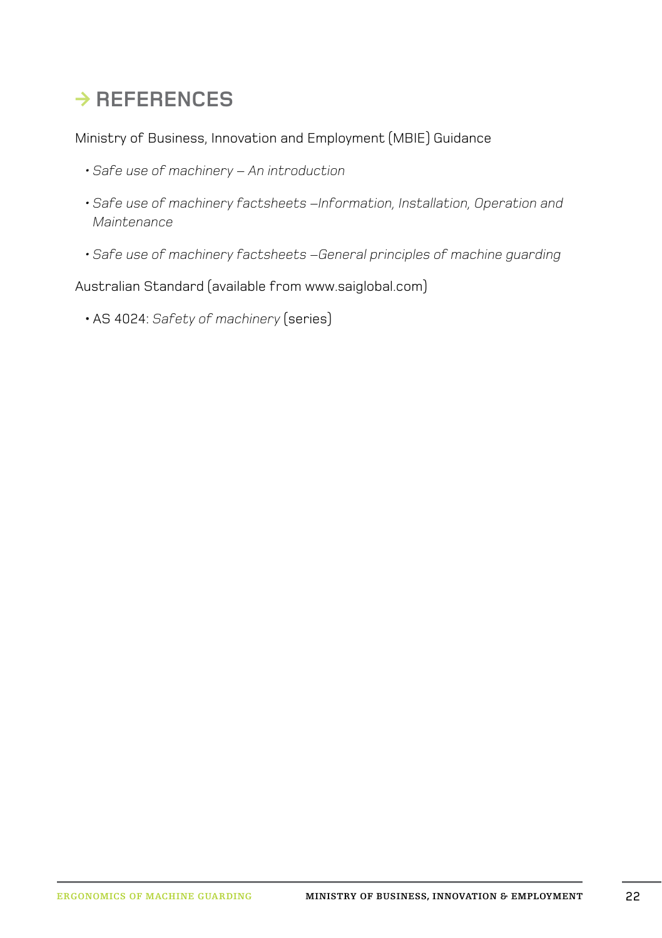# **◊ References**

Ministry of Business, Innovation and Employment (MBIE) Guidance

- *•[Safe use of machinery An introduction](http://www.osh.govt.nz/order/catalogue/machinery-safe-use-an-introduction.html)*
- *•[Safe use of machinery factsheets –Information, Installation, Operation and](http://www.osh.dol.govt.nz/publications/factsheets/machine-guarding/information-installation-operation-maintenance.html)  [Maintenance](http://www.osh.dol.govt.nz/publications/factsheets/machine-guarding/information-installation-operation-maintenance.html)*
- *•[Safe use of machinery factsheets –General principles of machine guarding](http://www.osh.govt.nz/publications/factsheets/machine-guarding/general-principles.html)*

Australian Standard (available from www.saiglobal.com)

•AS 4024: *Safety of machinery* (series)